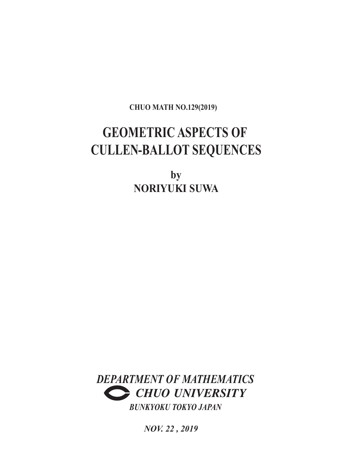**CHUO MATH NO.129(2019)**

# **GEOMETRIC ASPECTS OF CULLEN-BALLOT SEQUENCES**

**by NORIYUKI SUWA**



*NOV. 22 , 2019*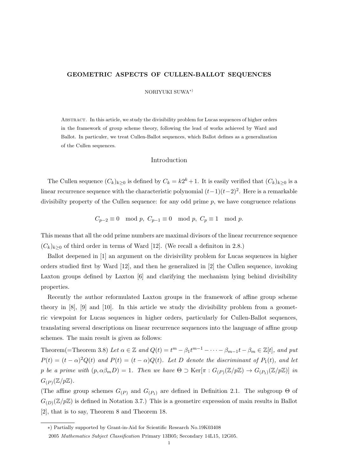#### **GEOMETRIC ASPECTS OF CULLEN-BALLOT SEQUENCES**

NORIYUKI SUWA*∗*)

Abstract. In this article, we study the divisibility problem for Lucas sequences of higher orders in the framework of group scheme theory, following the lead of works achieved by Ward and Ballot. In particuler, we treat Cullen-Ballot sequences, which Ballot defines as a generalization of the Cullen sequences.

## Introduction

The Cullen sequence  $(C_k)_{k\geq 0}$  is defined by  $C_k = k2^k + 1$ . It is easily verified that  $(C_k)_{k\geq 0}$  is a linear recurrence sequence with the characteristic polynomial (*t−*1)(*t−*2)<sup>2</sup> . Here is a remarkable divisibilty property of the Cullen sequence: for any odd prime *p*, we have congruence relations

$$
C_{p-2} \equiv 0 \mod p, \ C_{p-1} \equiv 0 \mod p, \ C_p \equiv 1 \mod p.
$$

This means that all the odd prime numbers are maximal divisors of the linear recurrence sequence  $(C_k)_{k>0}$  of third order in terms of Ward [12]. (We recall a definition in 2.8.)

Ballot deepened in [1] an argument on the divisivility problem for Lucas sequences in higher orders studied first by Ward [12], and then he generalized in [2] the Cullen sequence, invoking Laxton groups defined by Laxton [6] and clarifying the mechanism lying behind divisibility properties.

Recently the author reformulated Laxton groups in the framework of affine group scheme theory in [8], [9] and [10]. In this article we study the divisibility problem from a geometric viewpoint for Lucas sequences in higher orders, particularly for Cullen-Ballot sequences, translating several descriptions on linear recurrence sequences into the language of affine group schemes. The main result is given as follows:

Theorem(=Theorem 3.8) Let  $\alpha \in \mathbb{Z}$  and  $Q(t) = t^m - \beta_1 t^{m-1} - \cdots - \beta_{m-1} t - \beta_m \in \mathbb{Z}[t]$ , and put  $P(t) = (t - \alpha)^2 Q(t)$  and  $P(t) = (t - \alpha)Q(t)$ . Let D denote the discriminant of  $P_1(t)$ , and let *p be a prime with*  $(p, \alpha\beta_m D) = 1$ *. Then we have*  $\Theta \supset \text{Ker}[\pi : G_{(P)}(\mathbb{Z}/p\mathbb{Z}) \to G_{(P_1)}(\mathbb{Z}/p\mathbb{Z})]$  *in*  $G_{(P)}(\mathbb{Z}/p\mathbb{Z})$ .

(The affine group schemes  $G_{(P)}$  and  $G_{(P_1)}$  are defined in Definition 2.1. The subgroup  $\Theta$  of  $G_{(D)}(\mathbb{Z}/p\mathbb{Z})$  is defined in Notation 3.7.) This is a geometirc expression of main results in Ballot [2], that is to say, Theorem 8 and Theorem 18.

*<sup>∗</sup>*) Partially supported by Grant-in-Aid for Scientific Research No.19K03408

<sup>2005</sup> *Mathematics Subject Classification* Primary 13B05; Secondary 14L15, 12G05.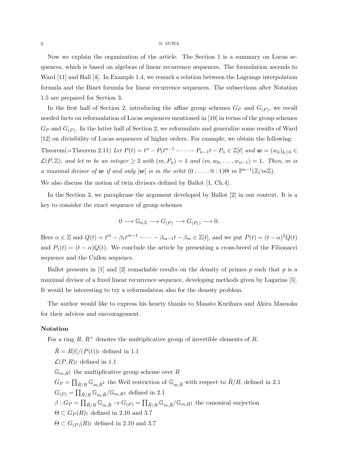#### 2 N. SUWA

Now we explain the organization of the article. The Section 1 is a summary on Lucas sequences, which is based on algebras of linear recurrence sequences. The formulation ascends to Ward [11] and Hall [4]. In Example 1.4, we remark a relation between the Lagrange interpolation formula and the Binet formula for linear recurrence sequences. The subsections after Notation 1.5 are prepared for Section 3.

In the first half of Section 2, introducing the affine group schemes  $G_P$  and  $G_{(P)}$ , we recall needed facts on reformulation of Lucas sequences mentioned in [10] in terms of the group schemes  $G_P$  and  $G_{(P)}$ . In the latter half of Section 2, we reformulate and generalize some results of Ward [12] on divisibility of Lucas sequences of higher orders. For example, we obtain the following:

Theorem(=Theorem 2.11) Let  $P(t) = t^{n} - P_1 t^{n-1} - \cdots - P_{n-1} t - P_n \in \mathbb{Z}[t]$  and  $\mathbf{w} = (w_k)_{k \geq 0} \in$ *L*(*P*,  $\mathbb{Z}$ )*,* and let *m* be an integer ≥ 2 with  $(m, P_n) = 1$  and  $(m, w_0, \ldots, w_{n-1}) = 1$ *. Then, m* is *a* maximal divisor of **w** if and only  $[w]$  is in the orbit  $(0 : ... : 0 : 1) \Theta$  in  $\mathbb{P}^{n-1}(\mathbb{Z}/m\mathbb{Z})$ .

We also discuss the notion of twin divisors defined by Ballot [1, Ch.4].

In the Section 3, we paraphrase the argument developed by Ballot [2] in our context. It is a key to consider the exact sequence of group schemes

$$
0 \longrightarrow \mathbb{G}_{a,\mathbb{Z}} \longrightarrow G_{(P)} \longrightarrow G_{(P_1)} \longrightarrow 0.
$$

Here  $\alpha \in \mathbb{Z}$  and  $Q(t) = t^m - \beta_1 t^{m-1} - \cdots - \beta_{m-1} t - \beta_m \in \mathbb{Z}[t]$ , and we put  $P(t) = (t - \alpha)^2 Q(t)$ and  $P_1(t) = (t - \alpha)Q(t)$ . We conclude the article by presenting a cross-breed of the Fibonacci sequence and the Cullen sequence.

Ballot presents in [1] and [2] remarkable results on the density of primes *p* such that *p* is a maximal divisor of a fixed linear recurrence sequence, developing methods given by Lagarias [5]. It would be interesting to try a reformulation also for the density problem.

The author would like to express his hearty thanks to Masato Kurihara and Akira Masuoka for their advices and encouragement.

#### **Notation**

For a ring  $R$ ,  $R^{\times}$  denotes the multiplicative group of invertible elements of  $R$ .

 $\tilde{R} = R[t]/(P(t))$ : defined in 1.1  $\mathcal{L}(P, R)$ : defined in 1.1  $\mathbb{G}_{m,R}$ : the multiplicative group scheme over *R*  $G_P = \prod_{\tilde{R}/R} \mathbb{G}_{m,\tilde{R}}$  the Weil restriction of  $\mathbb{G}_{m,\tilde{R}}$  with respect to  $\tilde{R}/R$ , defined in 2.1  $G_{(P)} = \prod_{\tilde{R}/R} \mathbb{G}_{m,\tilde{R}} / \mathbb{G}_{m,R}$  defined in 2.1  $\beta$  :  $G_P = \prod_{\tilde{R}/R} \mathbb{G}_{m,\tilde{R}} \rightarrow G_{(P)} = \prod_{\tilde{R}/R} \mathbb{G}_{m,\tilde{R}} / \mathbb{G}_{m,R}$ ; the canonical surjection  $\Theta \subset G_P(R)$ : defined in 2.10 and 3.7  $\Theta \subset G_{(P)}(R)$ : defined in 2.10 and 3.7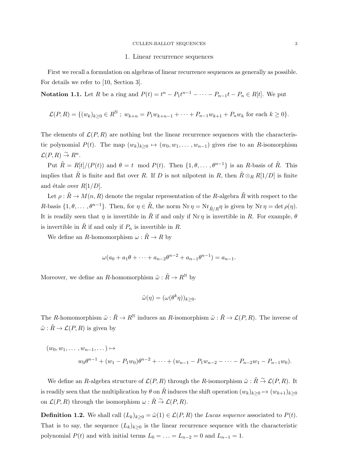#### 1. Linear recurrence sequences

First we recall a formulation on algebras of linear recurrence sequences as generally as possible. For details we refer to [10, Section 3].

**Notation 1.1.** Let R be a ring and  $P(t) = t^{n} - P_1 t^{n-1} - \cdots - P_{n-1} t - P_n \in R[t]$ . We put

$$
\mathcal{L}(P,R) = \{ (w_k)_{k \geq 0} \in R^{\mathbb{N}} \; ; \; w_{k+n} = P_1 w_{k+n-1} + \cdots + P_{n-1} w_{k+1} + P_n w_k \text{ for each } k \geq 0 \}.
$$

The elements of  $\mathcal{L}(P, R)$  are nothing but the linear recurrence sequences with the characteristic polynomial  $P(t)$ . The map  $(w_k)_{k>0} \mapsto (w_0, w_1, \ldots, w_{n-1})$  gives rise to an *R*-isomorphism  $\mathcal{L}(P,R) \stackrel{\sim}{\to} R^n$ .

Put  $\tilde{R} = R[t]/(P(t))$  and  $\theta = t \mod P(t)$ . Then  $\{1, \theta, \ldots, \theta^{n-1}\}$  is an *R*-basis of  $\tilde{R}$ . This implies that  $\tilde{R}$  is finite and flat over *R*. If *D* is not nilpotent in *R*, then  $\tilde{R} \otimes_R R[1/D]$  is finite and étale over  $R[1/D]$ .

Let  $\rho : \tilde{R} \to M(n, R)$  denote the regular representation of the *R*-algebra  $\tilde{R}$  with respect to the *R*-basis  $\{1, \theta, \ldots, \theta^{n-1}\}$ . Then, for  $\eta \in \tilde{R}$ , the norm Nr  $\eta = \text{Nr}_{\tilde{R}/R}\eta$  is given by Nr  $\eta = \det \rho(\eta)$ . It is readily seen that  $\eta$  is invertible in  $\tilde{R}$  if and only if Nr  $\eta$  is invertible in R. For example,  $\theta$ is invertible in  $\tilde{R}$  if and only if  $P_n$  is invertible in  $R$ .

We define an *R*-homomorphism  $\omega : \tilde{R} \to R$  by

$$
\omega(a_0 + a_1\theta + \dots + a_{n-2}\theta^{n-2} + a_{n-1}\theta^{n-1}) = a_{n-1}.
$$

Moreover, we define an *R*-homomorphism  $\tilde{\omega} : \tilde{R} \to R^{\mathbb{N}}$  by

$$
\tilde{\omega}(\eta) = (\omega(\theta^k \eta))_{k \ge 0}.
$$

The *R*-homomorphism  $\tilde{\omega} : \tilde{R} \to R^{\mathbb{N}}$  induces an *R*-isomorphism  $\tilde{\omega} : \tilde{R} \to \mathcal{L}(P, R)$ . The inverse of  $\tilde{\omega}: \tilde{R} \to \mathcal{L}(P, R)$  is given by

$$
(w_0, w_1, \dots, w_{n-1}, \dots) \mapsto
$$
  
\n
$$
w_0 \theta^{n-1} + (w_1 - P_1 w_0) \theta^{n-2} + \dots + (w_{n-1} - P_1 w_{n-2} - \dots - P_{n-2} w_1 - P_{n-1} w_0).
$$

We define an *R*-algebra structure of  $\mathcal{L}(P, R)$  through the *R*-isomorphism  $\tilde{\omega} : \tilde{R} \stackrel{\sim}{\to} \mathcal{L}(P, R)$ . It is readily seen that the multiplication by  $\theta$  on  $\tilde{R}$  induces the shift operation  $(w_k)_{k>0} \mapsto (w_{k+1})_{k>0}$ on  $\mathcal{L}(P, R)$  through the isomorphism  $\omega : \tilde{R} \overset{\sim}{\rightarrow} \mathcal{L}(P, R)$ .

**Definition 1.2.** We shall call  $(L_k)_{k\geq 0} = \tilde{\omega}(1) \in \mathcal{L}(P, R)$  the *Lucas sequence* associated to  $P(t)$ . That is to say, the sequence  $(L_k)_{k>0}$  is the linear recurrence sequence with the characteristic polynomial  $P(t)$  and with initial terms  $L_0 = \ldots = L_{n-2} = 0$  and  $L_{n-1} = 1$ .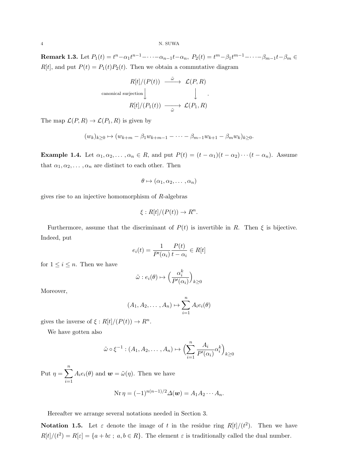**Remark 1.3.** Let  $P_1(t) = t^n - \alpha_1 t^{n-1} - \cdots - \alpha_{n-1} t - \alpha_n$ ,  $P_2(t) = t^m - \beta_1 t^{m-1} - \cdots - \beta_{m-1} t - \beta_m \in$  $R[t]$ , and put  $P(t) = P_1(t)P_2(t)$ . Then we obtain a commutative diagram

$$
R[t]/(P(t)) \xrightarrow{\tilde{\omega}} \mathcal{L}(P,R)
$$
  
canonical surjection  $\downarrow \qquad \qquad \downarrow$   

$$
R[t]/(P_1(t)) \xrightarrow{\tilde{\omega}} \mathcal{L}(P_1,R)
$$

The map  $\mathcal{L}(P, R) \to \mathcal{L}(P_1, R)$  is given by

$$
(w_k)_{k\geq 0} \mapsto (w_{k+m} - \beta_1 w_{k+m-1} - \dots - \beta_{m-1} w_{k+1} - \beta_m w_k)_{k\geq 0}.
$$

**Example 1.4.** Let  $\alpha_1, \alpha_2, \ldots, \alpha_n \in R$ , and put  $P(t) = (t - \alpha_1)(t - \alpha_2) \cdots (t - \alpha_n)$ . Assume that  $\alpha_1, \alpha_2, \ldots, \alpha_n$  are distinct to each other. Then

$$
\theta \mapsto (\alpha_1, \alpha_2, \dots, \alpha_n)
$$

gives rise to an injective homomorphism of *R*-algebras

$$
\xi: R[t]/(P(t)) \to R^n.
$$

Furthermore, assume that the discriminant of  $P(t)$  is invertible in R. Then  $\xi$  is bijective. Indeed, put

$$
e_i(t) = \frac{1}{P'(\alpha_i)} \frac{P(t)}{t - \alpha_i} \in R[t]
$$

for  $1 \leq i \leq n$ . Then we have

$$
\tilde{\omega}: e_i(\theta) \mapsto \Big(\frac{\alpha_i^k}{P'(\alpha_i)}\Big)_{k\geq 0}
$$

Moreover,

$$
(A_1, A_2, \dots, A_n) \mapsto \sum_{i=1}^n A_i e_i(\theta)
$$

gives the inverse of  $\xi$  :  $R[t]/(P(t)) \to R^n$ .

We have gotten also

$$
\tilde{\omega} \circ \xi^{-1} : (A_1, A_2, \dots, A_n) \mapsto \left(\sum_{i=1}^n \frac{A_i}{P'(\alpha_i)} \alpha_i^k\right)_{k \ge 0}
$$

Put  $\eta = \sum_{n=1}^{\infty}$ *i*=1  $A_i e_i(\theta)$  and  $\boldsymbol{w} = \tilde{\omega}(\eta)$ . Then we have  $N_r n - (-1)^n (n-1)/2 \Lambda(w) = A_1 A_2 \cdots A_n$ 

$$
\operatorname{Nr}\eta=(-1)^{n(n-1)/2}\varDelta(\boldsymbol{w})=A_1A_2\cdots A_n
$$

Hereafter we arrange several notations needed in Section 3.

**Notation 1.5.** Let  $\varepsilon$  denote the image of *t* in the residue ring  $R[t]/(t^2)$ . Then we have  $R[t]/(t^2) = R[\varepsilon] = \{a + b\varepsilon \; ; \; a, b \in R\}.$  The element  $\varepsilon$  is traditionally called the dual number.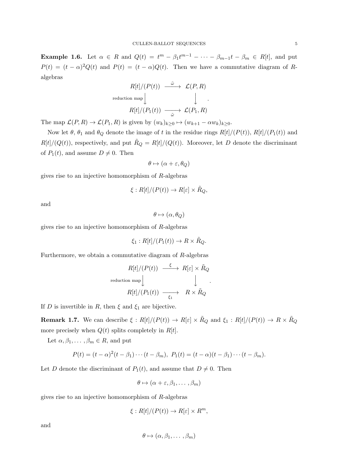**Example 1.6.** Let  $\alpha \in R$  and  $Q(t) = t^m - \beta_1 t^{m-1} - \cdots - \beta_{m-1} t - \beta_m \in R[t]$ , and put  $P(t) = (t - \alpha)^2 Q(t)$  and  $P(t) = (t - \alpha)Q(t)$ . Then we have a commutative diagram of *R*algebras

$$
R[t]/(P(t)) \xrightarrow{\tilde{\omega}} \mathcal{L}(P,R)
$$
  
reduction map  $\downarrow \qquad \qquad \downarrow$   

$$
R[t]/(P_1(t)) \xrightarrow{\tilde{\omega}} \mathcal{L}(P_1,R)
$$

The map  $\mathcal{L}(P, R) \to \mathcal{L}(P_1, R)$  is given by  $(w_k)_{k>0} \mapsto (w_{k+1} - \alpha w_k)_{k>0}$ .

Now let  $\theta$ ,  $\theta_1$  and  $\theta_Q$  denote the image of *t* in the residue rings  $R[t]/(P(t))$ ,  $R[t]/(P_1(t))$  and  $R[t]/(Q(t))$ , respectively, and put  $\ddot{R}_Q = R[t]/(Q(t))$ . Moreover, let *D* denote the discriminant of  $P_1(t)$ , and assume  $D \neq 0$ . Then

$$
\theta \mapsto (\alpha + \varepsilon, \theta_Q)
$$

gives rise to an injective homomorphism of *R*-algebras

$$
\xi: R[t]/(P(t)) \to R[\varepsilon] \times \tilde{R}_Q,
$$

and

 $θ$   $→$  (*α, θ*<sub>*Q*</sub>)</sub>

gives rise to an injective homomorphism of *R*-algebras

$$
\xi_1: R[t]/(P_1(t)) \to R \times \tilde{R}_Q.
$$

Furthermore, we obtain a commutative diagram of *R*-algebras

$$
R[t]/(P(t)) \xrightarrow{\xi} R[\varepsilon] \times \tilde{R}_Q
$$
  
reduction map  

$$
R[t]/(P_1(t)) \xrightarrow[\xi_1]{} R \times \tilde{R}_Q
$$

*.*

If *D* is invertible in *R*, then  $\xi$  and  $\xi_1$  are bijective.

**Remark 1.7.** We can describe  $\xi : R[t]/(P(t)) \to R[\varepsilon] \times \tilde{R}_Q$  and  $\xi_1 : R[t]/(P(t)) \to R \times \tilde{R}_Q$ more precisely when  $Q(t)$  splits completely in  $R[t]$ .

Let  $\alpha, \beta_1, \ldots, \beta_m \in R$ , and put

$$
P(t) = (t - \alpha)^2 (t - \beta_1) \cdots (t - \beta_m), \ P_1(t) = (t - \alpha)(t - \beta_1) \cdots (t - \beta_m).
$$

Let *D* denote the discriminant of  $P_1(t)$ , and assume that  $D \neq 0$ . Then

$$
\theta \mapsto (\alpha + \varepsilon, \beta_1, \dots, \beta_m)
$$

gives rise to an injective homomorphism of *R*-algebras

$$
\xi: R[t]/(P(t)) \to R[\varepsilon] \times R^m,
$$

and

$$
\theta \mapsto (\alpha, \beta_1, \dots, \beta_m)
$$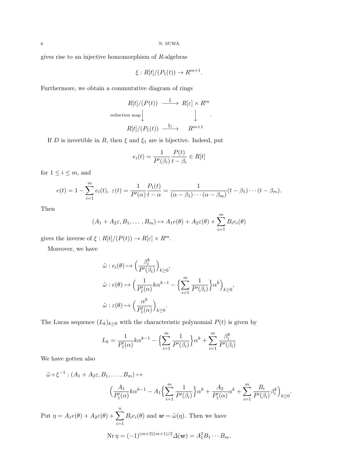gives rise to an injective homomorphism of *R*-algebras

$$
\xi: R[t]/(P_1(t)) \to R^{m+1}.
$$

Furthermore, we obtain a commutative diagram of rings

$$
R[t]/(P(t)) \xrightarrow{\xi} R[\varepsilon] \times R^m
$$
  
reduction map  $\downarrow \qquad \qquad \downarrow$   

$$
R[t]/(P_1(t)) \xrightarrow{\xi_1} R^{m+1}
$$

If *D* is invertible in *R*, then  $\xi$  and  $\xi_1$  are is bijective. Indeed, put

$$
e_i(t) = \frac{1}{P'(\beta_i)} \frac{P(t)}{t - \beta_i} \in R[t]
$$

for  $1 \leq i \leq m$ , and

$$
e(t) = 1 - \sum_{i=1}^{m} e_i(t), \ \varepsilon(t) = \frac{1}{P'(\alpha)} \frac{P_1(t)}{t - \alpha} = \frac{1}{(\alpha - \beta_1) \cdots (\alpha - \beta_m)} (t - \beta_1) \cdots (t - \beta_m).
$$

Then

$$
(A_1 + A_2\varepsilon, B_1, \dots, B_m) \mapsto A_1e(\theta) + A_2\varepsilon(\theta) + \sum_{i=1}^m B_ie_i(\theta)
$$

gives the inverse of  $\xi$  :  $R[t]/(P(t)) \to R[\varepsilon] \times R^m$ .

Moreover, we have

$$
\tilde{\omega}: e_i(\theta) \mapsto \left(\frac{\beta_i^k}{P'(\beta_i)}\right)_{k \ge 0},
$$
  

$$
\tilde{\omega}: e(\theta) \mapsto \left(\frac{1}{P'_1(\alpha)} k \alpha^{k-1} - \left\{\sum_{i=1}^m \frac{1}{P'(\beta_i)}\right\} \alpha^k\right)_{k \ge 0},
$$
  

$$
\tilde{\omega}: \varepsilon(\theta) \mapsto \left(\frac{\alpha^k}{P'_1(\alpha)}\right)_{k \ge 0}.
$$

The Lucas sequence  $(L_k)_{k\geq 0}$  with the characteristic polynomial  $P(t)$  is given by

$$
L_k = \frac{1}{P'_1(\alpha)} k \alpha^{k-1} - \left\{ \sum_{i=1}^m \frac{1}{P'(\beta_i)} \right\} \alpha^k + \sum_{i=1}^m \frac{\beta_i^k}{P'(\beta_i)}
$$

We have gotten also

$$
\tilde{\omega} \circ \xi^{-1} : (A_1 + A_2\varepsilon, B_1, \dots, B_m) \mapsto
$$
\n
$$
\left(\frac{A_1}{P_1'(\alpha)} k\alpha^{k-1} - A_1 \left\{ \sum_{i=1}^m \frac{1}{P'(\beta_i)} \right\} \alpha^k + \frac{A_2}{P_1'(\alpha)} \alpha^k + \sum_{i=1}^m \frac{B_i}{P'(\beta_i)} \beta_i^k \right\}_{k \ge 0}.
$$
\nPut  $\eta = A_1 e(\theta) + A_2 \varepsilon(\theta) + \sum_{i=1}^n B_i e_i(\theta)$  and  $\mathbf{w} = \tilde{\omega}(\eta)$ . Then we have

$$
\text{Nr}\,\eta = (-1)^{(m+2)(m+1)/2}\Delta(\boldsymbol{w}) = A_1^2B_1\cdots B_m.
$$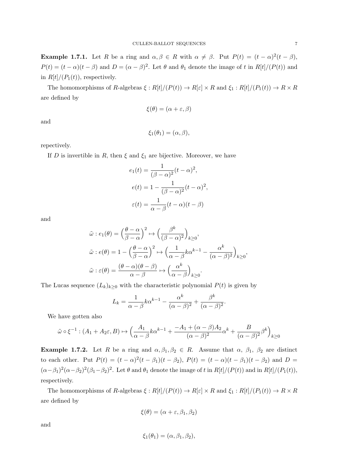**Example 1.7.1.** Let *R* be a ring and  $\alpha, \beta \in R$  with  $\alpha \neq \beta$ . Put  $P(t) = (t - \alpha)^2 (t - \beta)$ ,  $P(t) = (t - \alpha)(t - \beta)$  and  $D = (\alpha - \beta)^2$ . Let  $\theta$  and  $\theta_1$  denote the image of t in  $R[t]/(P(t))$  and in  $R[t]/(P_1(t))$ , respectively.

The homomorphisms of R-algebras  $\xi: R[t]/(P(t)) \to R[\varepsilon] \times R$  and  $\xi_1: R[t]/(P_1(t)) \to R \times R$ are defined by

$$
\xi(\theta) = (\alpha + \varepsilon, \beta)
$$

and

$$
\xi_1(\theta_1)=(\alpha,\beta),
$$

repectively.

If *D* is invertible in *R*, then  $\xi$  and  $\xi_1$  are bijective. Moreover, we have

$$
e_1(t) = \frac{1}{(\beta - \alpha)^2} (t - \alpha)^2,
$$
  
\n
$$
e(t) = 1 - \frac{1}{(\beta - \alpha)^2} (t - \alpha)^2,
$$
  
\n
$$
\varepsilon(t) = \frac{1}{\alpha - \beta} (t - \alpha)(t - \beta)
$$

and

$$
\tilde{\omega}: e_1(\theta) = \left(\frac{\theta - \alpha}{\beta - \alpha}\right)^2 \mapsto \left(\frac{\beta^k}{(\beta - \alpha)^2}\right)_{k \ge 0},
$$

$$
\tilde{\omega}: e(\theta) = 1 - \left(\frac{\theta - \alpha}{\beta - \alpha}\right)^2 \mapsto \left(\frac{1}{\alpha - \beta}k\alpha^{k - 1} - \frac{\alpha^k}{(\alpha - \beta)^2}\right)_{k \ge 0},
$$

$$
\tilde{\omega}: \varepsilon(\theta) = \frac{(\theta - \alpha)(\theta - \beta)}{\alpha - \beta} \mapsto \left(\frac{\alpha^k}{\alpha - \beta}\right)_{k \ge 0}.
$$

The Lucas sequence  $(L_k)_{k\geq 0}$  with the characteristic polynomial  $P(t)$  is given by

$$
L_k = \frac{1}{\alpha - \beta} k \alpha^{k-1} - \frac{\alpha^k}{(\alpha - \beta)^2} + \frac{\beta^k}{(\alpha - \beta)^2}.
$$

We have gotten also

$$
\tilde{\omega} \circ \xi^{-1} : (A_1 + A_2 \varepsilon, B) \mapsto \left(\frac{A_1}{\alpha - \beta} k \alpha^{k-1} + \frac{-A_1 + (\alpha - \beta)A_2}{(\alpha - \beta)^2} \alpha^k + \frac{B}{(\alpha - \beta)^2} \beta^k\right)_{k \ge 0}
$$

**Example 1.7.2.** Let *R* be a ring and  $\alpha, \beta_1, \beta_2 \in R$ . Assume that  $\alpha, \beta_1, \beta_2$  are distinct to each other. Put  $P(t) = (t - \alpha)^2 (t - \beta_1)(t - \beta_2)$ ,  $P(t) = (t - \alpha)(t - \beta_1)(t - \beta_2)$  and  $D =$  $(\alpha-\beta_1)^2(\alpha-\beta_2)^2(\beta_1-\beta_2)^2$ . Let  $\theta$  and  $\theta_1$  denote the image of t in  $R[t]/(P(t))$  and in  $R[t]/(P_1(t))$ , respectively.

The homomorphisms of R-algebras  $\xi: R[t]/(P(t)) \to R[\varepsilon] \times R$  and  $\xi_1: R[t]/(P_1(t)) \to R \times R$ are defined by

$$
\xi(\theta) = (\alpha + \varepsilon, \beta_1, \beta_2)
$$

and

$$
\xi_1(\theta_1) = (\alpha, \beta_1, \beta_2),
$$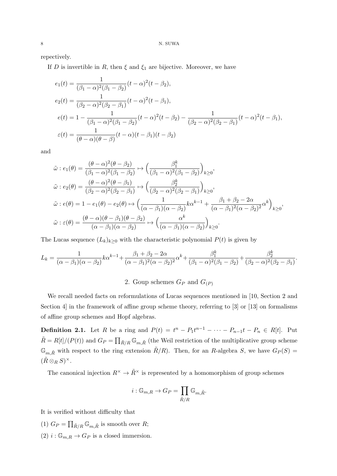repectively.

If *D* is invertible in *R*, then  $\xi$  and  $\xi_1$  are bijective. Moreover, we have

$$
e_1(t) = \frac{1}{(\beta_1 - \alpha)^2 (\beta_1 - \beta_2)} (t - \alpha)^2 (t - \beta_2),
$$
  
\n
$$
e_2(t) = \frac{1}{(\beta_2 - \alpha)^2 (\beta_2 - \beta_1)} (t - \alpha)^2 (t - \beta_1),
$$
  
\n
$$
e(t) = 1 - \frac{1}{(\beta_1 - \alpha)^2 (\beta_1 - \beta_2)} (t - \alpha)^2 (t - \beta_2) - \frac{1}{(\beta_2 - \alpha)^2 (\beta_2 - \beta_1)} (t - \alpha)^2 (t - \beta_1),
$$
  
\n
$$
\varepsilon(t) = \frac{1}{(\theta - \alpha)(\theta - \beta)} (t - \alpha)(t - \beta_1)(t - \beta_2)
$$

and

$$
\tilde{\omega}: e_1(\theta) = \frac{(\theta - \alpha)^2 (\theta - \beta_2)}{(\beta_1 - \alpha)^2 (\beta_1 - \beta_2)} \mapsto \left(\frac{\beta_1^k}{(\beta_1 - \alpha)^2 (\beta_1 - \beta_2)}\right)_{k \ge 0},
$$
\n
$$
\tilde{\omega}: e_2(\theta) = \frac{(\theta - \alpha)^2 (\theta - \beta_1)}{(\beta_2 - \alpha)^2 (\beta_2 - \beta_1)} \mapsto \left(\frac{\beta_2^k}{(\beta_2 - \alpha)^2 (\beta_2 - \beta_1)}\right)_{k \ge 0},
$$
\n
$$
\tilde{\omega}: e(\theta) = 1 - e_1(\theta) - e_2(\theta) \mapsto \left(\frac{1}{(\alpha - \beta_1)(\alpha - \beta_2)} k \alpha^{k-1} + \frac{\beta_1 + \beta_2 - 2\alpha}{(\alpha - \beta_1)^2 (\alpha - \beta_2)^2} \alpha^k\right)_{k \ge 0},
$$
\n
$$
\tilde{\omega}: \varepsilon(\theta) = \frac{(\theta - \alpha)(\theta - \beta_1)(\theta - \beta_2)}{(\alpha - \beta_1)(\alpha - \beta_2)} \mapsto \left(\frac{\alpha^k}{(\alpha - \beta_1)(\alpha - \beta_2)}\right)_{k \ge 0}.
$$

The Lucas sequence  $(L_k)_{k\geq 0}$  with the characteristic polynomial  $P(t)$  is given by

$$
L_k = \frac{1}{(\alpha - \beta_1)(\alpha - \beta_2)} k \alpha^{k-1} + \frac{\beta_1 + \beta_2 - 2\alpha}{(\alpha - \beta_1)^2 (\alpha - \beta_2)^2} \alpha^k + \frac{\beta_1^k}{(\beta_1 - \alpha)^2 (\beta_1 - \beta_2)} + \frac{\beta_2^k}{(\beta_2 - \alpha)^2 (\beta_2 - \beta_1)}.
$$

# 2. Goup schemes  $G_P$  and  $G_{(P)}$

We recall needed facts on reformulations of Lucas sequences mentioned in [10, Section 2 and Section 4] in the framework of affine group scheme theory, referring to [3] or [13] on formalisms of affine group schemes and Hopf algebras.

**Definition 2.1.** Let R be a ring and  $P(t) = t^{n} - P_1 t^{n-1} - \cdots - P_{n-1} t - P_n \in R[t]$ . Put  $\tilde{R} = R[t]/(P(t))$  and  $G_P = \prod_{\tilde{R}/R} \mathbb{G}_{m,\tilde{R}}$  (the Weil restriction of the multiplicative group scheme  $\mathbb{G}_{m,\tilde{R}}$  with respect to the ring extension  $\tilde{R}/R$ . Then, for an *R*-algebra *S*, we have  $G_P(S)$  =  $(\tilde{R} \otimes_R S)^{\times}.$ 

The canonical injection  $R^{\times} \to \tilde{R}^{\times}$  is represented by a homomorphism of group schemes

$$
i: \mathbb{G}_{m,R} \to G_P = \prod_{\tilde{R}/R} \mathbb{G}_{m,\tilde{R}}.
$$

It is verified without difficulty that

- (1)  $G_P = \prod_{\tilde{R}/R} \mathbb{G}_{m,\tilde{R}}$  is smooth over *R*;
- (2)  $i : \mathbb{G}_{m,R} \to G_P$  is a closed immersion.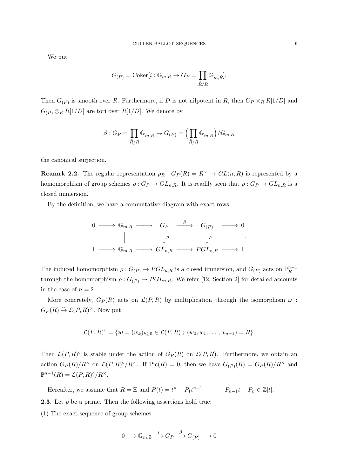We put

$$
G_{(P)} = \text{Coker}[i : \mathbb{G}_{m,R} \to G_P = \prod_{\tilde{R}/R} \mathbb{G}_{m,\tilde{R}}].
$$

Then  $G_{(P)}$  is smooth over *R*. Furthermore, if *D* is not nilpotent in *R*, then  $G_P \otimes_R R[1/D]$  and  $G_{(P)} \otimes_R R[1/D]$  are tori over  $R[1/D]$ . We denote by

$$
\beta:G_P=\prod_{\tilde{R}/R}\mathbb{G}_{m,\tilde{R}}\rightarrow G_{(P)}=\Bigl(\prod_{\tilde{R}/R}\mathbb{G}_{m,\tilde{R}}\Bigr)/\mathbb{G}_{m,R}
$$

the canonical surjection.

**Reamrk 2.2.** The regular representation  $\rho_R$ :  $G_P(R) = \tilde{R}^\times \rightarrow GL(n, R)$  is represented by a homomorphism of group schemes  $\rho: G_P \to GL_{n,R}$ . It is readily seen that  $\rho: G_P \to GL_{n,R}$  is a closed immersion.

By the definition, we have a commutative diagram with exact rows

0 *−−−→* G*m,R −−−→ G<sup>P</sup> β −−−→ G*(*P*) *−−−→* 0 y *ρ* y *ρ* 1 *−−−→* G*m,R −−−→ GLn,R −−−→ P GLn,R −−−→* 1 *.*

The induced homomorphism  $\rho: G_{(P)} \to PGL_{n,R}$  is a closed immersion, and  $G_{(P)}$  acts on  $\mathbb{P}_R^{n-1}$ through the homomorphism  $\rho: G_{(P)} \to PGL_{n,R}$ . We refer [12, Section 2] for detailed accounts in the case of  $n = 2$ .

More concretely,  $G_P(R)$  acts on  $\mathcal{L}(P, R)$  by multiplication through the isomorphism  $\tilde{\omega}$ :  $G_P(R) \stackrel{\sim}{\rightarrow} \mathcal{L}(P,R)^{\times}$ . Now put

$$
\mathcal{L}(P,R)^{\circ} = \{ \mathbf{w} = (w_k)_{k \geq 0} \in \mathcal{L}(P,R) ; (w_0, w_1, \ldots, w_{n-1}) = R \}.
$$

Then  $\mathcal{L}(P,R)^\circ$  is stable under the action of  $G_P(R)$  on  $\mathcal{L}(P,R)$ . Furthermore, we obtain an action  $G_P(R)/R^\times$  on  $\mathcal{L}(P,R)^\circ/R^\times$ . If  $Pic(R) = 0$ , then we have  $G_{(P)}(R) = G_P(R)/R^\times$  and  $\mathbb{P}^{n-1}(R) = \mathcal{L}(P,R)^\circ/R^\times$ .

Hereafter, we assume that  $R = \mathbb{Z}$  and  $P(t) = t^n - P_1 t^{n-1} - \cdots - P_{n-1} t - P_n \in \mathbb{Z}[t]$ .

**2.3.** Let *p* be a prime. Then the following assertions hold true:

(1) The exact sequence of group schemes

$$
0 \longrightarrow \mathbb{G}_{m,\mathbb{Z}} \stackrel{i}{\longrightarrow} G_P \stackrel{\beta}{\longrightarrow} G_{(P)} \longrightarrow 0
$$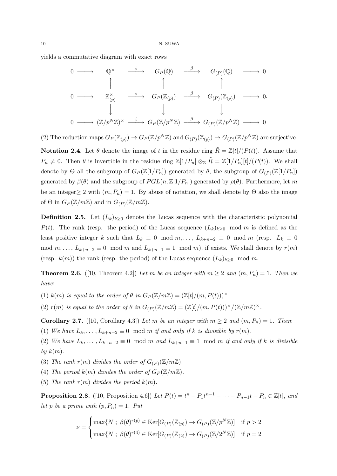yields a commutative diagram with exact rows

$$
\begin{array}{ccccccccc}\n0 & \longrightarrow & \mathbb{Q}^{\times} & \xrightarrow{i} & G_{P}(\mathbb{Q}) & \xrightarrow{\beta} & G_{(P)}(\mathbb{Q}) & \longrightarrow & 0 \\
\uparrow & & \uparrow & & \uparrow & & \uparrow & & \\
0 & \longrightarrow & \mathbb{Z}_{(p)}^{\times} & \xrightarrow{i} & G_{P}(\mathbb{Z}_{(p)}) & \xrightarrow{\beta} & G_{(P)}(\mathbb{Z}_{(p)}) & \longrightarrow & 0 \\
& & \downarrow & & \downarrow & & \downarrow & & \\
0 & \longrightarrow & (\mathbb{Z}/p^{N}\mathbb{Z})^{\times} & \xrightarrow{i} & G_{P}(\mathbb{Z}/p^{N}\mathbb{Z}) & \xrightarrow{\beta} & G_{(P)}(\mathbb{Z}/p^{N}\mathbb{Z}) & \longrightarrow & 0\n\end{array}
$$

(2) The reduction maps  $G_P(\mathbb{Z}_{(p)}) \to G_P(\mathbb{Z}/p^N\mathbb{Z})$  and  $G_{(P)}(\mathbb{Z}_{(p)}) \to G_{(P)}(\mathbb{Z}/p^N\mathbb{Z})$  are surjective.

**Notation 2.4.** Let  $\theta$  denote the image of *t* in the residue ring  $\tilde{R} = \mathbb{Z}[t]/(P(t))$ . Assume that  $P_n \neq 0$ . Then  $\theta$  is invertible in the residue ring  $\mathbb{Z}[1/P_n] \otimes_{\mathbb{Z}} R = \mathbb{Z}[1/P_n][t]/(P(t))$ . We shall denote by  $\Theta$  all the subgroup of  $G_P(\mathbb{Z}[1/P_n])$  generated by  $\theta$ , the subgroup of  $G_{(P)}(\mathbb{Z}[1/P_n])$ generated by  $\beta(\theta)$  and the subgroup of  $PGL(n,\mathbb{Z}[1/P_n])$  generated by  $\rho(\theta)$ . Furthermore, let m be an integer  $\geq$  2 with  $(m, P_n) = 1$ . By abuse of notation, we shall denote by  $\Theta$  also the image of  $\Theta$  in  $G_P(\mathbb{Z}/m\mathbb{Z})$  and in  $G_{(P)}(\mathbb{Z}/m\mathbb{Z})$ .

**Definition 2.5.** Let  $(L_k)_{k\geq0}$  denote the Lucas sequence with the characteristic polynomial *P*(*t*). The rank (resp. the period) of the Lucas sequence  $(L_k)_{k>0}$  mod *m* is defined as the least positive integer *k* such that  $L_k \equiv 0 \mod m, \ldots, L_{k+n-2} \equiv 0 \mod m$  (resp.  $L_k \equiv 0$ mod  $m, \ldots, L_{k+n-2} \equiv 0 \mod m$  and  $L_{k+n-1} \equiv 1 \mod m$ , if exists. We shall denote by  $r(m)$ (resp.  $k(m)$ ) the rank (resp. the period) of the Lucas sequence  $(L_k)_{k>0}$  mod m.

**Theorem 2.6.** ([10, Theorem 4.2]) Let *m* be an integer with  $m \geq 2$  and  $(m, P_n) = 1$ . Then we *have*:

(1)  $k(m)$  *is equal to the order of*  $\theta$  *in*  $G_P(\mathbb{Z}/m\mathbb{Z}) = (\mathbb{Z}[t]/(m, P(t)))^{\times}$ .

(2)  $r(m)$  is equal to the order of  $\theta$  in  $G_{(P)}(\mathbb{Z}/m\mathbb{Z}) = (\mathbb{Z}[t]/(m, P(t)))^{\times}/(\mathbb{Z}/m\mathbb{Z})^{\times}$ .

**Corollary 2.7.** ([10, Corollary 4.3]) *Let m be an integer with*  $m \geq 2$  *and*  $(m, P_n) = 1$ *. Then:* 

(1) *We have*  $L_k, \ldots, L_{k+n-2} \equiv 0 \mod m$  *if and only if k is divisible by*  $r(m)$ .

(2) We have  $L_k, \ldots, L_{k+n-2} \equiv 0 \mod m$  and  $L_{k+n-1} \equiv 1 \mod m$  if and only if k is divisible  $by \ k(m).$ 

(3) The rank  $r(m)$  divides the order of  $G_{(P)}(\mathbb{Z}/m\mathbb{Z})$ .

(4) *The period*  $k(m)$  *divides the order of*  $G_P(\mathbb{Z}/m\mathbb{Z})$ *.* 

(5) The rank  $r(m)$  divides the period  $k(m)$ .

**Proposition 2.8.** ([10, Proposition 4.6]) Let  $P(t) = t^{n} - P_1 t^{n-1} - \cdots - P_{n-1} t - P_n \in \mathbb{Z}[t]$ , and *let p be a prime with*  $(p, P_n) = 1$ *. Put* 

$$
\nu = \begin{cases} \max\{N \; ; \; \beta(\theta)^{r(p)} \in \text{Ker}[G_{(P)}(\mathbb{Z}_{(p)}) \to G_{(P)}(\mathbb{Z}/p^N\mathbb{Z})] & \text{if } p > 2 \\ \max\{N \; ; \; \beta(\theta)^{r(4)} \in \text{Ker}[G_{(P)}(\mathbb{Z}_{(2)}) \to G_{(P)}(\mathbb{Z}/2^N\mathbb{Z})] & \text{if } p = 2 \end{cases}
$$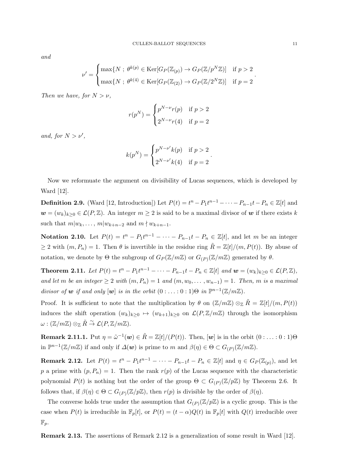*and*

$$
\nu' = \begin{cases} \max\{N \; ; \; \theta^{k(p)} \in \text{Ker}[G_P(\mathbb{Z}_{(p)}) \to G_P(\mathbb{Z}/p^N\mathbb{Z})] & \text{if } p > 2 \\ \max\{N \; ; \; \theta^{k(4)} \in \text{Ker}[G_P(\mathbb{Z}_{(2)}) \to G_P(\mathbb{Z}/2^N\mathbb{Z})] & \text{if } p = 2 \end{cases}.
$$

*Then we have, for*  $N > \nu$ ,

$$
r(p^N) = \begin{cases} p^{N-\nu}r(p) & \text{if } p > 2\\ 2^{N-\nu}r(4) & \text{if } p = 2 \end{cases}
$$

*and, for*  $N > \nu'$ ,

$$
k(p^N) = \begin{cases} p^{N-\nu'}k(p) & \text{if } p > 2 \\ 2^{N-\nu'}k(4) & \text{if } p = 2 \end{cases}.
$$

Now we reformuate the argument on divisibility of Lucas sequences, which is developed by Ward [12].

**Definition 2.9.** (Ward [12, Introduction]) Let  $P(t) = t^n - P_1 t^{n-1} - \cdots - P_{n-1} t - P_n \in \mathbb{Z}[t]$  and  $w = (w_k)_{k \geq 0} \in \mathcal{L}(P, \mathbb{Z})$ . An integer  $m \geq 2$  is said to be a maximal divisor of *w* if there exists *k* such that  $m|w_k, \ldots, m|w_{k+n-2}$  and  $m \nmid w_{k+n-1}$ .

**Notation 2.10.** Let  $P(t) = t^n - P_1 t^{n-1} - \cdots - P_{n-1} t - P_n \in \mathbb{Z}[t]$ , and let m be an integer  $\geq$  2 with  $(m, P_n) = 1$ . Then  $\theta$  is invertible in the residue ring  $\tilde{R} = \mathbb{Z}[t]/(m, P(t))$ . By abuse of notation, we denote by  $\Theta$  the subgroup of  $G_P(\mathbb{Z}/m\mathbb{Z})$  or  $G_{(P)}(\mathbb{Z}/m\mathbb{Z})$  generated by  $\theta$ .

**Theorem 2.11.** Let  $P(t) = t^n - P_1 t^{n-1} - \cdots - P_{n-1} t - P_n \in \mathbb{Z}[t]$  and  $w = (w_k)_{k \geq 0} \in \mathcal{L}(P, \mathbb{Z})$ , *and let m be an integer*  $≥ 2$  *with*  $(m, P_n) = 1$  *and*  $(m, w_0, \ldots, w_{n-1}) = 1$ *. Then, m is a maximal divisor of w if and only* [*w*] *is in the orbit*  $(0 : ... : 0 : 1) \Theta$  *in*  $\mathbb{P}^{n-1}(\mathbb{Z}/m\mathbb{Z})$ *.* 

Proof. It is sufficient to note that the multiplication by  $\theta$  on  $(\mathbb{Z}/m\mathbb{Z}) \otimes_{\mathbb{Z}} \tilde{R} = \mathbb{Z}[t]/(m, P(t))$ induces the shift operation  $(w_k)_{k>0} \mapsto (w_{k+1})_{k>0}$  on  $\mathcal{L}(P,\mathbb{Z}/m\mathbb{Z})$  through the isomorphism  $\omega : (\mathbb{Z}/m\mathbb{Z}) \otimes_{\mathbb{Z}} \tilde{R} \stackrel{\sim}{\rightarrow} \mathcal{L}(P,\mathbb{Z}/m\mathbb{Z}).$ 

**Remark 2.11.1.** Put  $\eta = \tilde{\omega}^{-1}(\boldsymbol{w}) \in \tilde{R} = \mathbb{Z}[t]/(P(t))$ . Then,  $[\boldsymbol{w}]$  is in the orbit  $(0 : \ldots : 0 : 1) \Theta$ in  $\mathbb{P}^{n-1}(\mathbb{Z}/m\mathbb{Z})$  if and only if  $\Delta(\boldsymbol{w})$  is prime to *m* and  $\beta(\eta) \in \Theta \subset G_{(P)}(\mathbb{Z}/m\mathbb{Z})$ .

**Remark 2.12.** Let  $P(t) = t^{n} - P_1 t^{n-1} - \cdots - P_{n-1} t - P_n \in \mathbb{Z}[t]$  and  $\eta \in G_P(\mathbb{Z}_{(p)})$ , and let p a prime with  $(p, P_n) = 1$ . Then the rank  $r(p)$  of the Lucas sequence with the characteristic polynomial  $P(t)$  is nothing but the order of the group  $\Theta \subset G_{(P)}(\mathbb{Z}/p\mathbb{Z})$  by Theorem 2.6. It follows that, if  $\beta(\eta) \in \Theta \subset G_{(P)}(\mathbb{Z}/p\mathbb{Z})$ , then  $r(p)$  is divisible by the order of  $\beta(\eta)$ .

The converse holds true under the assumption that  $G_{(P)}(\mathbb{Z}/p\mathbb{Z})$  is a cyclic group. This is the case when  $P(t)$  is irreducible in  $\mathbb{F}_p[t]$ , or  $P(t) = (t - \alpha)Q(t)$  in  $\mathbb{F}_p[t]$  with  $Q(t)$  irreducible over  $\mathbb{F}_p$ .

**Remark 2.13.** The assertions of Remark 2.12 is a generalization of some result in Ward [12].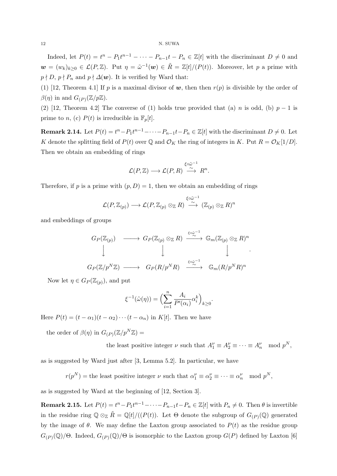Indeed, let  $P(t) = t^{n} - P_1 t^{n-1} - \cdots - P_{n-1} t - P_n \in \mathbb{Z}[t]$  with the discriminant  $D \neq 0$  and  $\mathbf{w} = (w_k)_{k \geq 0} \in \mathcal{L}(P, \mathbb{Z})$ . Put  $\eta = \tilde{\omega}^{-1}(\mathbf{w}) \in \tilde{R} = \mathbb{Z}[t]/(P(t))$ . Moreover, let *p* a prime with  $p \nmid D$ ,  $p \nmid P_n$  and  $p \nmid \Delta(w)$ . It is verified by Ward that:

(1) [12, Theorem 4.1] If *p* is a maximal divisor of  $w$ , then then  $r(p)$  is divisible by the order of  $\beta(\eta)$  in and  $G_{(P)}(\mathbb{Z}/p\mathbb{Z})$ .

(2) [12, Theorem 4.2] The converse of (1) holds true provided that (a) *n* is odd, (b)  $p-1$  is prime to *n*, (c)  $P(t)$  is irreducible in  $\mathbb{F}_p[t]$ .

**Remark 2.14.** Let  $P(t) = t^n - P_1 t^{n-1} - \cdots - P_{n-1} t - P_n \in \mathbb{Z}[t]$  with the discriminant  $D \neq 0$ . Let *K* denote the splitting field of  $P(t)$  over  $\mathbb{Q}$  and  $\mathcal{O}_K$  the ring of integers in *K*. Put  $R = \mathcal{O}_K[1/D]$ . Then we obtain an embedding of rings

$$
\mathcal{L}(P,\mathbb{Z})\longrightarrow \mathcal{L}(P,R)\stackrel{\xi\circ\tilde{\omega}^{-1}}{\stackrel{\sim}{\longrightarrow}} R^n.
$$

Therefore, if *p* is a prime with  $(p, D) = 1$ , then we obtain an embedding of rings

$$
{\mathcal L}(P,{\mathbb Z}_{(p)})\longrightarrow {\mathcal L}(P,{\mathbb Z}_{(p)}\otimes_{{\mathbb Z}}R)\stackrel{\xi\circ\tilde\omega^{-1}}{\stackrel{\sim}{\longrightarrow}}({\mathbb Z}_{(p)}\otimes_{{\mathbb Z}}R)^n
$$

and embeddings of groups

$$
G_P(\mathbb{Z}_{(p)}) \longrightarrow G_P(\mathbb{Z}_{(p)} \otimes_{\mathbb{Z}} R) \xrightarrow{\xi \circ \tilde{\omega}^{-1}} \mathbb{G}_m(\mathbb{Z}_{(p)} \otimes_{\mathbb{Z}} R)^n
$$
  

$$
\downarrow \qquad \qquad \downarrow \qquad \qquad \downarrow
$$
  

$$
G_P(\mathbb{Z}/p^N\mathbb{Z}) \longrightarrow G_P(R/p^N R) \xrightarrow{\xi \circ \tilde{\omega}^{-1}} \mathbb{G}_m(R/p^N R)^n
$$

Now let  $\eta \in G_P(\mathbb{Z}_{(p)})$ , and put

$$
\xi^{-1}(\tilde{\omega}(\eta)) = \Big(\sum_{i=1}^n \frac{A_i}{P'(\alpha_i)} \alpha_i^k\Big)_{k \ge 0}.
$$

Here  $P(t) = (t - \alpha_1)(t - \alpha_2) \cdots (t - \alpha_n)$  in  $K[t]$ . Then we have

the order of  $\beta(\eta)$  in  $G_{(P)}(\mathbb{Z}/p^N\mathbb{Z}) =$ 

the least positive integer 
$$
\nu
$$
 such that  $A_1^{\nu} \equiv A_2^{\nu} \equiv \cdots \equiv A_n^{\nu}$  mod  $p^N$ ,

as is suggested by Ward just after [3, Lemma 5.2]. In particular, we have

 $r(p^N) =$  the least positive integer *ν* such that  $\alpha_1^{\nu} \equiv \alpha_2^{\nu} \equiv \cdots \equiv \alpha_n^{\nu} \mod p^N$ ,

as is suggested by Ward at the beginning of [12, Section 3].

**Remark 2.15.** Let  $P(t) = t^n - P_1 t^{n-1} - \cdots - P_{n-1} t - P_n \in \mathbb{Z}[t]$  with  $P_n \neq 0$ . Then  $\theta$  is invertible in the residue ring  $\mathbb{Q} \otimes_{\mathbb{Z}} \tilde{R} = \mathbb{Q}[t]/((P(t))$ . Let  $\Theta$  denote the subgroup of  $G_{(P)}(\mathbb{Q})$  generated by the image of  $\theta$ . We may define the Laxton group associated to  $P(t)$  as the residue group *G*<sub>(*P*)</sub>(Q)/Θ. Indeed, *G*<sub>(*P*)</sub>(Q)/Θ is isomorphic to the Laxton group *G*(*P*) defined by Laxton [6]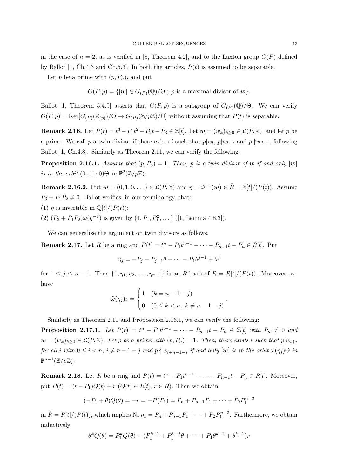in the case of  $n = 2$ , as is verified in [8, Theorem 4.2], and to the Laxton group  $G(P)$  defined by Ballot  $[1, Ch.4.3 \text{ and } Ch.5.3]$ . In both the articles,  $P(t)$  is assumed to be separable.

Let  $p$  be a prime with  $(p, P_n)$ , and put

$$
G(P,p) = \{[\boldsymbol{w}] \in G_{(P)}(\mathbb{Q})/\Theta \; ; \; p \text{ is a maximal divisor of } \boldsymbol{w}\}.
$$

Ballot [1, Theorem 5.4.9] asserts that  $G(P, p)$  is a subgroup of  $G_{(P)}(\mathbb{Q})/\Theta$ . We can verify  $G(P, p) = \text{Ker}[G_{(P)}(\mathbb{Z}_{(p)})/\Theta \to G_{(P)}(\mathbb{Z}/p\mathbb{Z})/\Theta]$  without assuming that  $P(t)$  is separable.

**Remark 2.16.** Let  $P(t) = t^3 - P_1 t^2 - P_2 t - P_3 \in \mathbb{Z}[t]$ . Let  $\mathbf{w} = (w_k)_{k \geq 0} \in \mathcal{L}(P, \mathbb{Z})$ , and let p be a prime. We call *p* a twin divisor if there exists *l* such that  $p|w_l$ ,  $p|w_{l+2}$  and  $p \nmid w_{l+1}$ , following Ballot [1, Ch.4.8]. Similarly as Theorem 2.11, we can verify the following:

**Proposition 2.16.1.** *Assume that*  $(p, P_3) = 1$ *. Then,*  $p$  *is a twin divisor of*  $w$  *if and only*  $[w]$ *is in the orbit*  $(0:1:0)\Theta$  *in*  $\mathbb{P}^2(\mathbb{Z}/p\mathbb{Z})$ *.* 

**Remark 2.16.2.** Put  $w = (0, 1, 0, ...) \in \mathcal{L}(P, \mathbb{Z})$  and  $\eta = \tilde{\omega}^{-1}(w) \in \tilde{R} = \mathbb{Z}[t]/(P(t))$ . Assume  $P_3 + P_1 P_2 \neq 0$ . Ballot verifies, in our terminology, that:

(1) *η* is invertible in  $\mathbb{Q}[t]/(P(t));$ 

(2)  $(P_3 + P_1 P_2)\tilde{\omega}(\eta^{-1})$  is given by  $(1, P_1, P_1^2, \dots)$  ([1, Lemma 4.8.3]).

We can generalize the argument on twin divisors as follows.

**Remark 2.17.** Let R be a ring and  $P(t) = t^{n} - P_1 t^{n-1} - \cdots - P_{n-1} t - P_n \in R[t]$ . Put

$$
\eta_j = -P_j - P_{j-1}\theta - \dots - P_1\theta^{j-1} + \theta^j
$$

for  $1 \leq j \leq n-1$ . Then  $\{1, \eta_1, \eta_2, \ldots, \eta_{n-1}\}$  is an R-basis of  $\tilde{R} = R[t]/(P(t))$ . Moreover, we have

$$
\tilde{\omega}(\eta_j)_k = \begin{cases} 1 & (k = n - 1 - j) \\ 0 & (0 \le k < n, \ k \neq n - 1 - j) \end{cases}.
$$

Similarly as Theorem 2.11 and Proposition 2.16.1, we can verify the following:

**Proposition 2.17.1.** Let  $P(t) = t^{n} - P_1 t^{n-1} - \cdots - P_{n-1} t - P_n \in \mathbb{Z}[t]$  with  $P_n \neq 0$  and  $\mathbf{w} = (w_k)_{k>0} \in \mathcal{L}(P,\mathbb{Z})$ . Let p be a prime with  $(p, P_n) = 1$ . Then, there exists l such that  $p|w_{l+i}$ for all i with  $0 \leq i < n$ ,  $i \neq n-1-j$  and  $p \nmid w_{l+n-1-j}$  if and only  $[\mathbf{w}]$  is in the orbit  $\tilde{\omega}(\eta_j) \Theta$  in  $\mathbb{P}^{n-1}(\mathbb{Z}/p\mathbb{Z})$ .

**Remark 2.18.** Let R be a ring and  $P(t) = t^{n} - P_1 t^{n-1} - \cdots - P_{n-1} t - P_n \in R[t]$ . Moreover, put  $P(t) = (t - P_1)Q(t) + r$  ( $Q(t) \in R[t], r \in R$ ). Then we obtain

$$
(-P_1 + \theta)Q(\theta) = -r = -P(P_1) = P_n + P_{n-1}P_1 + \dots + P_2P_1^{n-2}
$$

in  $\tilde{R} = R[t]/(P(t))$ , which implies Nr  $\eta_1 = P_n + P_{n-1}P_1 + \cdots + P_2P_1^{n-2}$ . Furthermore, we obtain inductively

$$
\theta^k Q(\theta) = P_1^k Q(\theta) - (P_1^{k-1} + P_1^{k-2}\theta + \dots + P_1 \theta^{k-2} + \theta^{k-1})r
$$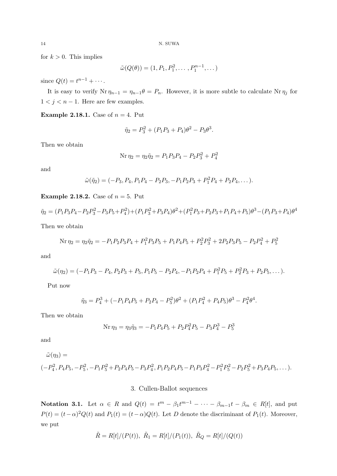for  $k > 0$ . This implies

$$
\tilde{\omega}(Q(\theta)) = (1, P_1, P_1^2, \dots, P_1^{n-1}, \dots)
$$

since  $Q(t) = t^{n-1} + \cdots$ .

It is easy to verify  $Nr \eta_{n-1} = \eta_{n-1} \theta = P_n$ . However, it is more subtle to calculate  $Nr \eta_j$  for  $1 < j < n-1$ . Here are few examples.

**Example 2.18.1.** Case of  $n = 4$ . Put

$$
\tilde{\eta}_2 = P_3^2 + (P_1 P_3 + P_4)\theta^2 - P_3 \theta^3.
$$

Then we obtain

$$
Nr \eta_2 = \eta_2 \tilde{\eta}_2 = P_1 P_3 P_4 - P_2 P_3^2 + P_4^2
$$

and

$$
\tilde{\omega}(\tilde{\eta}_2) = (-P_3, P_4, P_1P_4 - P_2P_3, -P_1P_2P_3 + P_1^2P_4 + P_2P_4, \dots).
$$

**Example 2.18.2.** Case of *n* = 5. Put

$$
\tilde{\eta}_2 = (P_1 P_3 P_4 - P_2 P_3^2 - P_3 P_5 + P_4^2) + (P_1 P_3^2 + P_3 P_4) \theta^2 + (P_1^2 P_3 + P_2 P_3 + P_1 P_4 + P_5) \theta^3 - (P_1 P_3 + P_4) \theta^4
$$
  
Then we obtain

$$
Nr \eta_2 = \eta_2 \tilde{\eta}_2 = -P_1 P_2 P_3 P_4 + P_1^2 P_3 P_5 + P_1 P_4 P_5 + P_2^2 P_3^2 + 2P_2 P_3 P_5 - P_2 P_4^2 + P_5^2
$$

and

$$
\tilde{\omega}(\eta_2) = (-P_1P_3 - P_4, P_2P_3 + P_5, P_1P_5 - P_2P_4, -P_1P_2P_4 + P_1^2P_5 + P_2^2P_3 + P_2P_5, \dots).
$$

Put now

$$
\tilde{\eta}_3 = P_4^3 + (-P_1 P_4 P_5 + P_2 P_4 - P_5^2)\theta^2 + (P_1 P_4^2 + P_4 P_5)\theta^3 - P_4^2 \theta^4.
$$

Then we obtain

$$
Nr \eta_3 = \eta_3 \tilde{\eta}_3 = -P_1 P_4 P_5 + P_2 P_4^2 P_5 - P_3 P_4^3 - P_5^3
$$

and

 $\tilde{\omega}(\eta_3) =$ 

$$
(-P_4^2, P_4P_5, -P_5^2, -P_1P_5^2 + P_2P_4P_5 - P_3P_4^2, P_1P_2P_4P_5 - P_1P_3P_4^2 - P_1^2P_5^2 - P_2P_5^2 + P_3P_4P_5, \dots).
$$

### 3. Cullen-Ballot sequences

**Notation 3.1.** Let  $\alpha \in R$  and  $Q(t) = t^m - \beta_1 t^{m-1} - \cdots - \beta_{m-1} t - \beta_m \in R[t]$ , and put  $P(t) = (t - \alpha)^2 Q(t)$  and  $P_1(t) = (t - \alpha)Q(t)$ . Let *D* denote the discriminant of  $P_1(t)$ . Moreover, we put

$$
\tilde{R} = R[t]/(P(t)), \ \tilde{R}_1 = R[t]/(P_1(t)), \ \tilde{R}_Q = R[t]/(Q(t))
$$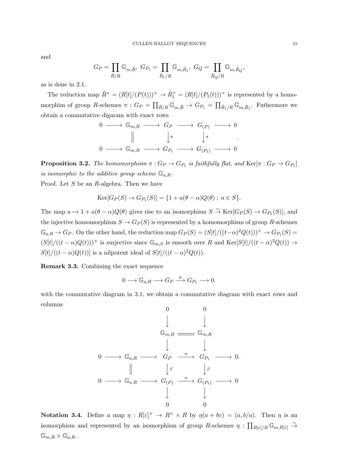and

$$
G_P=\prod_{\tilde{R}/R}\mathbb{G}_{m,\tilde{R}},\ G_{P_1}=\prod_{\tilde{R}_1/R}\mathbb{G}_{m,\tilde{R}_1},\ G_Q=\prod_{\tilde{R}_Q/R}\mathbb{G}_{m,\tilde{R}_Q}
$$

as is done in 2.1.

The reduction map  $\tilde{R}^{\times} = (R[t]/(P(t)))^{\times} \rightarrow \tilde{R}_{1}^{\times} = (R[t]/(P_{1}(t)))^{\times}$  is represented by a homomorphim of group *R*-schemes  $\pi$  :  $G_P = \prod_{\tilde{R}/R} \mathbb{G}_{m,\tilde{R}} \to G_{P_1} = \prod_{\tilde{R}_1/R} \mathbb{G}_{m,\tilde{R}_1}$ . Futhermore we obtain a commutative digaram with exact rows

0 *−−−→* G*m,R −−−→ G<sup>P</sup> −−−→ G*(*P*) *−−−→* 0 y*π* y*π* 0 *−−−→* G*m,R −−−→ GP*<sup>1</sup> *−−−→ G*(*P*1) *−−−→* 0 *.*

**Proposition 3.2.** The homomorphism  $\pi$  :  $G_P \rightarrow G_{P_1}$  is faithfully flat, and  $\text{Ker}[\pi : G_P \rightarrow G_{P_1}]$ *is isomorphic to the additive group scheme*  $\mathbb{G}_{a,R}$ *.* 

Proof. Let *S* be an *R*-algebra. Then we have

$$
Ker[G_P(S) \to G_{P_1}(S)] = \{1 + a(\theta - \alpha)Q(\theta) ; a \in S\}.
$$

The map  $a \mapsto 1 + a(\theta - \alpha)Q(\theta)$  gives rise to an isomorphism  $S \stackrel{\sim}{\to} \text{Ker}[G_P(S) \to G_{P_1}(S)]$ , and the injective homomorphism  $S \to G_P(S)$  is represented by a homomorphism of group *R*-schemes  $\mathbb{G}_{a,R} \to G_P$ . On the other hand, the reduction map  $G_P(S) = (S[t]/((t-\alpha)^2 Q(t)))^{\times} \to G_{P_1}(S)$  $(S[t]/((t-\alpha)Q(t)))^{\times}$  is surjective since  $\mathbb{G}_{m,S}$  is smooth over R and  $\text{Ker}[S[t]/((t-\alpha)^{2}Q(t)) \rightarrow$  $S[t]/((t-\alpha)Q(t))$ ] is a nilpotent ideal of  $S[t]/((t-\alpha)^2Q(t))$ .

**Remark 3.3.** Combining the exact sequence

$$
0 \longrightarrow \mathbb{G}_{a,R} \longrightarrow G_P \stackrel{\pi}{\longrightarrow} G_{P_1} \longrightarrow 0.
$$

with the commutative diagram in 3.1, we obtain a commutative diagram with exact rows and columns

$$
\begin{array}{ccccccc}\n & & & & & & 0 & & 0 & \\
 & & & & & & \downarrow & & \\
 & & & & & & \downarrow & & \\
0 & \longrightarrow & \mathbb{G}_{a,R} & \longrightarrow & G_P & \xrightarrow{\pi} & G_{P_1} & \longrightarrow & 0 \\
 & & & & & & \downarrow & & \\
0 & \longrightarrow & \mathbb{G}_{a,R} & \longrightarrow & G_{(P)} & \xrightarrow{\pi} & G_{(P_1)} & \longrightarrow & 0 \\
 & & & & & & \downarrow & & \\
0 & & & & & & \downarrow & & \\
\end{array}
$$

**Notation 3.4.** Define a map  $\eta : R[\varepsilon]^{\times} \to R^{\times} \times R$  by  $\eta(a + b\varepsilon) = (a, b/a)$ . Then  $\eta$  is an isomorphism and represented by an isomorphism of group *R*-schemes  $\eta : \prod_{R[\varepsilon]/R} \mathbb{G}_{m,R[\varepsilon]} \stackrel{\sim}{\to}$  $\mathbb{G}_{m,R}\times \mathbb{G}_{a,R}$ .

*,*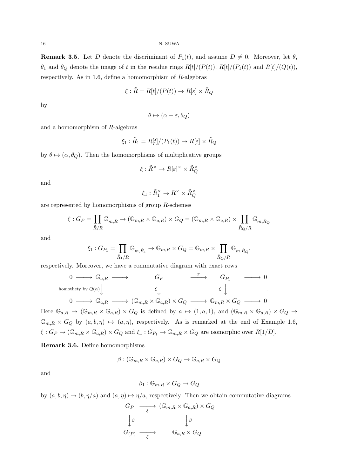**Remark 3.5.** Let *D* denote the discriminant of  $P_1(t)$ , and assume  $D \neq 0$ . Moreover, let  $\theta$ ,  $\theta_1$  and  $\theta_Q$  denote the image of t in the residue rings  $R[t]/(P(t))$ ,  $R[t]/(P_1(t))$  and  $R[t]/(Q(t))$ , respectively. As in 1.6, define a homomorphism of *R*-algebras

$$
\xi : \tilde{R} = R[t]/(P(t)) \to R[\varepsilon] \times \tilde{R}_Q
$$

by

$$
\theta \mapsto (\alpha + \varepsilon, \theta_Q)
$$

and a homomorphism of *R*-algebras

$$
\xi_1 : \tilde{R}_1 = R[t]/(P_1(t)) \to R[\varepsilon] \times \tilde{R}_Q
$$

by  $\theta \mapsto (\alpha, \theta_Q)$ . Then the homomorphisms of multiplicative groups

$$
\xi : \tilde{R}^{\times} \to R[\varepsilon]^{\times} \times \tilde{R}_Q^{\times}
$$

and

$$
\xi_1 : \tilde{R}_1^\times \to R^\times \times \tilde{R}_Q^\times
$$

are represented by homomorphisms of group *R*-schemes

$$
\xi: G_P = \prod_{\tilde{R}/R} \mathbb{G}_{m,\tilde{R}} \to (\mathbb{G}_{m,R} \times \mathbb{G}_{a,R}) \times G_Q = (\mathbb{G}_{m,R} \times \mathbb{G}_{a,R}) \times \prod_{\tilde{R}_Q/R} \mathbb{G}_{m,\tilde{R}_Q}
$$

and

$$
\xi_1: G_{P_1} = \prod_{\tilde{R}_1/R} \mathbb{G}_{m,\tilde{R}_1} \to \mathbb{G}_{m,R} \times G_Q = \mathbb{G}_{m,R} \times \prod_{\tilde{R}_Q/R} \mathbb{G}_{m,\tilde{R}_Q},
$$

respectively. Moreover, we have a commutative diagram with exact rows

$$
\begin{array}{ccccccc}\n0 & \longrightarrow & \mathbb{G}_{a,R} & \longrightarrow & & G_P & & \xrightarrow{\pi} & & G_{P_1} & \longrightarrow & 0 \\
\downarrow & & & & & \xi \downarrow & & & \xi_1 \downarrow & & \vdots \\
0 & \longrightarrow & \mathbb{G}_{a,R} & \longrightarrow & (\mathbb{G}_{m,R} \times \mathbb{G}_{a,R}) \times G_Q & \longrightarrow & \mathbb{G}_{m,R} \times G_Q & \longrightarrow & 0\n\end{array}
$$

Here  $\mathbb{G}_{a,R} \to (\mathbb{G}_{m,R} \times \mathbb{G}_{a,R}) \times G_Q$  is defined by  $a \mapsto (1,a,1)$ , and  $(\mathbb{G}_{m,R} \times \mathbb{G}_{a,R}) \times G_Q \to$  $\mathbb{G}_{m,R} \times G_Q$  by  $(a, b, \eta) \mapsto (a, \eta)$ , respectively. As is remarked at the end of Example 1.6,  $\xi: G_P \to (\mathbb{G}_{m,R} \times \mathbb{G}_{a,R}) \times G_Q$  and  $\xi_1: G_{P_1} \to \mathbb{G}_{m,R} \times G_Q$  are isomorphic over  $R[1/D]$ .

**Remark 3.6.** Define homomorphisms

$$
\beta : (\mathbb{G}_{m,R} \times \mathbb{G}_{a,R}) \times G_Q \to \mathbb{G}_{a,R} \times G_Q
$$

and

$$
\beta_1 : \mathbb{G}_{m,R} \times G_Q \to G_Q
$$

by  $(a, b, \eta) \mapsto (b, \eta/a)$  and  $(a, \eta) \mapsto \eta/a$ , respectively. Then we obtain commutative diagrams

$$
G_P \longrightarrow (\mathbb{G}_{m,R} \times \mathbb{G}_{a,R}) \times G_Q
$$

$$
\downarrow^{\beta} \qquad \qquad \downarrow^{\beta}
$$

$$
G_{(P)} \longrightarrow \qquad \mathbb{G}_{a,R} \times G_Q
$$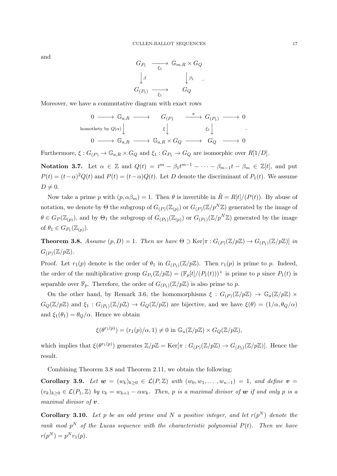and

$$
G_{P_1} \longrightarrow \mathbb{G}_{m,R} \times G_Q
$$

$$
\downarrow^{\beta} \qquad \qquad \downarrow^{\beta_1}
$$

$$
G_{(P_1)} \longrightarrow G_Q
$$

*.*

Moreover, we have a commutative diagram with exact rows

$$
\begin{array}{ccccccc}\n0 & \longrightarrow & \mathbb{G}_{a,R} & \longrightarrow & G_{(P)} & \xrightarrow{\pi} & G_{(P_1)} & \longrightarrow & 0 \\
\text{homothety by } Q(\alpha) & & & \xi & & \xi_1 \\
0 & \longrightarrow & \mathbb{G}_{a,R} & \longrightarrow & \mathbb{G}_{a,R} \times G_Q & \longrightarrow & G_Q & \longrightarrow & 0\n\end{array}
$$

Furthermore,  $\xi$ :  $G_{(P)} \to \mathbb{G}_{a,R} \times G_Q$  and  $\xi_1$ :  $G_{P_1} \to G_Q$  are isomorphic over  $R[1/D]$ .

**Notation 3.7.** Let  $\alpha \in \mathbb{Z}$  and  $Q(t) = t^m - \beta_1 t^{m-1} - \cdots - \beta_{m-1} t - \beta_m \in \mathbb{Z}[t]$ , and put  $P(t) = (t - \alpha)^2 Q(t)$  and  $P(t) = (t - \alpha)Q(t)$ . Let *D* denote the discriminant of  $P_1(t)$ . We assume  $D \neq 0$ .

Now take a prime *p* with  $(p, \alpha\beta_m) = 1$ . Then  $\theta$  is invertible in  $\tilde{R} = R[t]/(P(t))$ . By abuse of notation, we denote by  $\Theta$  the subgroup of  $G_{(P)}(\mathbb{Z}_{(p)})$  or  $G_{(P)}(\mathbb{Z}/p^N\mathbb{Z})$  generated by the image of  $\theta \in G_P(\mathbb{Z}_{(p)})$ , and by  $\Theta_1$  the subgroup of  $G_{(P_1)}(\mathbb{Z}_{(p)})$  or  $G_{(P_1)}(\mathbb{Z}/p^N\mathbb{Z})$  generated by the image of  $\theta_1 \in G_{P_1}(\mathbb{Z}_{(p)})$ .

**Theorem 3.8.** *Assume*  $(p, D) = 1$ *. Then we have*  $\Theta \supset \text{Ker}[\pi : G_{(P)}(\mathbb{Z}/p\mathbb{Z}) \to G_{(P_1)}(\mathbb{Z}/p\mathbb{Z})]$  *in*  $G_{(P)}(\mathbb{Z}/p\mathbb{Z})$ .

Proof. Let  $r_1(p)$  denote is the order of  $\theta_1$  in  $G_{(P_1)}(\mathbb{Z}/p\mathbb{Z})$ . Then  $r_1(p)$  is prime to p. Indeed, the order of the multiplicative group  $G_{P_1}(\mathbb{Z}/p\mathbb{Z}) = (\mathbb{F}_p[t]/(P_1(t)))^{\times}$  is prime to *p* since  $P_1(t)$  is separable over  $\mathbb{F}_p$ . Therefore, the order of  $G_{(P_1)}(\mathbb{Z}/p\mathbb{Z})$  is also prime to p.

On the other hand, by Remark 3.6, the homomorphisms  $\xi : G_{(P)}(\mathbb{Z}/p\mathbb{Z}) \to \mathbb{G}_a(\mathbb{Z}/p\mathbb{Z}) \times$  $G_Q(\mathbb{Z}/p\mathbb{Z})$  and  $\xi_1: G_{(P_1)}(\mathbb{Z}/p\mathbb{Z}) \to G_Q(\mathbb{Z}/p\mathbb{Z})$  are bijective, and we have  $\xi(\theta) = (1/\alpha, \theta_Q/\alpha)$ and  $\xi_1(\theta_1) = \theta_Q/\alpha$ . Hence we obtain

$$
\xi(\theta^{r_1(p)}) = (r_1(p)/\alpha, 1) \neq 0 \text{ in } \mathbb{G}_a(\mathbb{Z}/p\mathbb{Z}) \times G_Q(\mathbb{Z}/p\mathbb{Z}),
$$

which implies that  $\xi(\theta^{r_1(p)})$  generates  $\mathbb{Z}/p\mathbb{Z} = \text{Ker}[\pi : G_{(P)}(\mathbb{Z}/p\mathbb{Z}) \to G_{(P_1)}(\mathbb{Z}/p\mathbb{Z})]$ . Hence the result.

Combining Theorem 3.8 and Theorem 2.11, we obtain the following:

**Corollary 3.9.** *Let*  $w = (w_k)_{k \geq 0} \in \mathcal{L}(P, \mathbb{Z})$  *with*  $(w_0, w_1, \ldots, w_{n-1}) = 1$ *, and define*  $v =$  $(v_k)_{k\geq 0} \in \mathcal{L}(P_1,\mathbb{Z})$  by  $v_k = w_{k+1} - \alpha w_k$ . Then, p is a maximal divisor of **w** if and only p is a *maximal divisor of v.*

**Corollary 3.10.** Let p be an odd prime and N a positive integer, and let  $r(p^N)$  denote the *rank mod*  $p^N$  *of the Lucas sequence with the characteristic polynomial*  $P(t)$ *. Then we have*  $r(p^N) = p^N r_1(p)$ .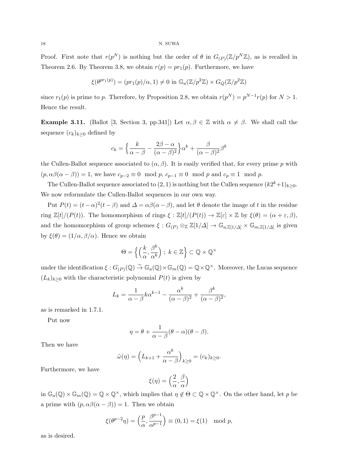18 N. SUWA

Proof. First note that  $r(p^N)$  is nothing but the order of  $\theta$  in  $G_{(P)}(\mathbb{Z}/p^N\mathbb{Z})$ , as is recalled in Theorem 2.6. By Theorem 3.8, we obtain  $r(p) = pr_1(p)$ . Furthermore, we have

$$
\xi(\theta^{pr_1(p)}) = (pr_1(p)/\alpha, 1) \neq 0 \text{ in } \mathbb{G}_a(\mathbb{Z}/p^2\mathbb{Z}) \times G_Q(\mathbb{Z}/p^2\mathbb{Z})
$$

since  $r_1(p)$  is prime to *p*. Therefore, by Proposition 2.8, we obtain  $r(p^N) = p^{N-1}r(p)$  for  $N > 1$ . Hence the result.

**Example 3.11.** (Ballot [3, Section 3, pp.341]) Let  $\alpha, \beta \in \mathbb{Z}$  with  $\alpha \neq \beta$ . We shall call the sequence  $(c_k)_{k>0}$  defined by

$$
c_k = \left\{ \frac{k}{\alpha - \beta} - \frac{2\beta - \alpha}{(\alpha - \beta)^2} \right\} \alpha^k + \frac{\beta}{(\alpha - \beta)^2} \beta^k
$$

the Cullen-Ballot sequence associated to  $(\alpha, \beta)$ . It is easily verified that, for every prime *p* with  $(p, \alpha\beta(\alpha - \beta)) = 1$ , we have  $c_{p-2} \equiv 0 \mod p$ ,  $c_{p-1} \equiv 0 \mod p$  and  $c_p \equiv 1 \mod p$ .

The Cullen-Ballot sequence associated to  $(2, 1)$  is nothing but the Cullen sequence  $(k2^k+1)_{k\geq 0}$ . We now reformulate the Cullen-Ballot sequences in our own way.

Put  $P(t) = (t - \alpha)^2 (t - \beta)$  and  $\Delta = \alpha \beta (\alpha - \beta)$ , and let  $\theta$  denote the image of *t* in the residue ring  $\mathbb{Z}[t]/(P(t))$ . The homomorphism of rings  $\xi : \mathbb{Z}[t]/(P(t)) \to \mathbb{Z}[\varepsilon] \times \mathbb{Z}$  by  $\xi(\theta) = (\alpha + \varepsilon, \beta)$ , and the homomorphism of group schemes  $\xi: G_{(P)} \otimes_{\mathbb{Z}} \mathbb{Z}[1/\Delta] \to \mathbb{G}_{a,\mathbb{Z}[1/\Delta]} \times \mathbb{G}_{m,\mathbb{Z}[1/\Delta]}$  is given by  $\xi(\theta) = (1/\alpha, \beta/\alpha)$ . Hence we obtain

$$
\Theta = \left\{ \left( \frac{k}{\alpha}, \frac{\beta^k}{\alpha^k} \right) ; k \in \mathbb{Z} \right\} \subset \mathbb{Q} \times \mathbb{Q}^{\times}
$$

under the identification  $\xi$  :  $G_{(P)}(\mathbb{Q}) \stackrel{\sim}{\to} \mathbb{G}_a(\mathbb{Q}) \times \mathbb{G}_m(\mathbb{Q}) = \mathbb{Q} \times \mathbb{Q}^{\times}$ . Moreover, the Lucas sequence  $(L_k)_{k>0}$  with the characteristic polynomial  $P(t)$  is given by

$$
L_k = \frac{1}{\alpha - \beta} k \alpha^{k-1} - \frac{\alpha^k}{(\alpha - \beta)^2} + \frac{\beta^k}{(\alpha - \beta)^2},
$$

as is remarked in 1.7.1.

Put now

$$
\eta = \theta + \frac{1}{\alpha - \beta} (\theta - \alpha)(\theta - \beta).
$$

Then we have

$$
\tilde{\omega}(\eta) = \left( L_{k+1} + \frac{\alpha^k}{\alpha - \beta} \right)_{k \ge 0} = (c_k)_{k \ge 0}.
$$

Furthermore, we have

$$
\xi(\eta) = \left(\frac{2}{\alpha}, \frac{\beta}{\alpha}\right)
$$

in  $\mathbb{G}_a(\mathbb{Q}) \times \mathbb{G}_m(\mathbb{Q}) = \mathbb{Q} \times \mathbb{Q}^\times$ , which implies that  $\eta \notin \Theta \subset \mathbb{Q} \times \mathbb{Q}^\times$ . On the other hand, let p be a prime with  $(p, \alpha\beta(\alpha - \beta)) = 1$ . Then we obtain

$$
\xi(\theta^{p-2}\eta) = \left(\frac{p}{\alpha}, \frac{\beta^{p-1}}{\alpha^{p-1}}\right) \equiv (0,1) = \xi(1) \mod p,
$$

as is desired.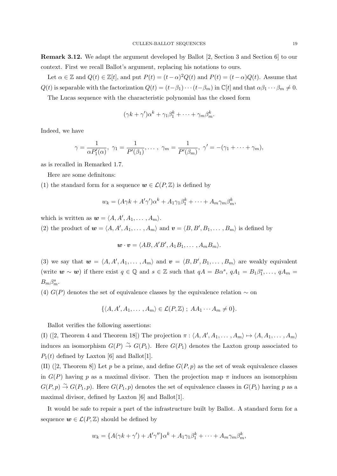**Remark 3.12.** We adapt the argument developed by Ballot [2, Section 3 and Section 6] to our context. First we recall Ballot's argument, replacing his notations to ours.

Let  $\alpha \in \mathbb{Z}$  and  $Q(t) \in \mathbb{Z}[t]$ , and put  $P(t) = (t - \alpha)^2 Q(t)$  and  $P(t) = (t - \alpha)Q(t)$ . Assume that  $Q(t)$  is separable with the factorization  $Q(t) = (t - \beta_1) \cdots (t - \beta_m)$  in  $\mathbb{C}[t]$  and that  $\alpha \beta_1 \cdots \beta_m \neq 0$ .

The Lucas sequence with the characteristic polynomial has the closed form

$$
(\gamma k + \gamma')\alpha^k + \gamma_1\beta_1^k + \cdots + \gamma_m\beta_m^k.
$$

Indeed, we have

$$
\gamma = \frac{1}{\alpha P'_1(\alpha)}, \ \gamma_1 = \frac{1}{P'(\beta_1)}, \dots, \ \gamma_m = \frac{1}{P'(\beta_m)}, \ \gamma' = -(\gamma_1 + \dots + \gamma_m),
$$

as is recalled in Remarked 1.7.

Here are some definitons:

(1) the standard form for a sequence  $w \in \mathcal{L}(P, \mathbb{Z})$  is defined by

$$
w_k = (A\gamma k + A'\gamma')\alpha^k + A_1\gamma_1\beta_1^k + \dots + A_m\gamma_m\beta_m^k,
$$

which is written as  $w = \langle A, A', A_1, \ldots, A_m \rangle$ .

(2) the product of  $w = \langle A, A', A_1, \ldots, A_m \rangle$  and  $v = \langle B, B', B_1, \ldots, B_m \rangle$  is defined by

$$
\mathbf{w} \cdot \mathbf{v} = \langle AB, A'B', A_1B_1, \ldots, A_mB_m \rangle.
$$

(3) we say that  $w = \langle A, A', A_1, \ldots, A_m \rangle$  and  $v = \langle B, B', B_1, \ldots, B_m \rangle$  are weakly equivalent (write  $w \sim w$ ) if there exist  $q \in \mathbb{Q}$  and  $s \in \mathbb{Z}$  such that  $qA = B\alpha^s$ ,  $qA_1 = B_1\beta^s_1, \ldots, qA_m =$  $B_m \beta_m^s$ .

(4)  $G(P)$  denotes the set of equivalence classes by the equivalence relation  $\sim$  on

$$
\{\langle A, A', A_1, \ldots, A_m \rangle \in \mathcal{L}(P, \mathbb{Z}) \; ; \; AA_1 \cdots A_m \neq 0 \}.
$$

Ballot verifies the following assertions:

(I) ([2, Theorem 4 and Theorem 18]) The projection  $\pi$  :  $\langle A, A', A_1, \ldots, A_m \rangle \mapsto \langle A, A_1, \ldots, A_m \rangle$ induces an isomorphism  $G(P) \stackrel{\sim}{\to} G(P_1)$ . Here  $G(P_1)$  denotes the Laxton group associated to  $P_1(t)$  defined by Laxton [6] and Ballot[1].

(II) ([2, Theorem 8]) Let  $p$  be a prime, and define  $G(P, p)$  as the set of weak equivalence classes in  $G(P)$  having *p* as a maximal divisor. Then the projection map  $\pi$  induces an isomorphism  $G(P, p) \stackrel{\sim}{\rightarrow} G(P_1, p)$ . Here  $G(P_1, p)$  denotes the set of equivalence classes in  $G(P_1)$  having *p* as a maximal divisor, defined by Laxton [6] and Ballot[1].

It would be safe to repair a part of the infrastructure built by Ballot. A standard form for a sequence  $w \in \mathcal{L}(P, \mathbb{Z})$  should be defined by

$$
w_k = \{A(\gamma k + \gamma') + A'\gamma''\}\alpha^k + A_1\gamma_1\beta_1^k + \dots + A_m\gamma_m\beta_m^k,
$$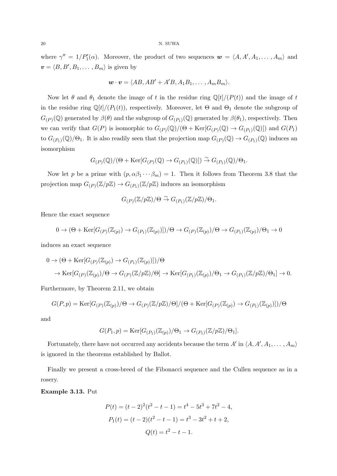where  $\gamma'' = 1/P'_1(\alpha)$ . Moreover, the product of two sequences  $\mathbf{w} = \langle A, A', A_1, \dots, A_m \rangle$  and  $v = \langle B, B', B_1, \ldots, B_m \rangle$  is given by

$$
\mathbf{w}\cdot\mathbf{v}=\langle AB, AB'+A'B, A_1B_1,\ldots,A_mB_m\rangle.
$$

Now let  $\theta$  and  $\theta_1$  denote the image of *t* in the residue ring  $\mathbb{Q}[t]/(P(t))$  and the image of *t* in the residue ring  $\mathbb{Q}[t]/(P_1(t))$ , respectively. Moreover, let  $\Theta$  and  $\Theta_1$  denote the subgroup of  $G_{(P)}(\mathbb{Q})$  generated by  $\beta(\theta)$  and the subgroup of  $G_{(P_1)}(\mathbb{Q})$  generated by  $\beta(\theta_1)$ , respectively. Then we can verify that  $G(P)$  is isomorphic to  $G_{(P)}(\mathbb{Q})/(\Theta + \text{Ker}[G_{(P)}(\mathbb{Q}) \to G_{(P_1)}(\mathbb{Q})])$  and  $G(P_1)$ to  $G_{(P_1)}(\mathbb{Q})/\Theta_1$ . It is also readily seen that the projection map  $G_{(P)}(\mathbb{Q}) \to G_{(P_1)}(\mathbb{Q})$  induces an isomorphism

$$
G_{(P)}(\mathbb{Q})/(\Theta + \text{Ker}[G_{(P)}(\mathbb{Q}) \to G_{(P_1)}(\mathbb{Q})]) \stackrel{\sim}{\to} G_{(P_1)}(\mathbb{Q})/\Theta_1.
$$

Now let *p* be a prime with  $(p, \alpha\beta_1 \cdots \beta_m) = 1$ . Then it follows from Theorem 3.8 that the projection map  $G_{(P)}(\mathbb{Z}/p\mathbb{Z}) \to G_{(P_1)}(\mathbb{Z}/p\mathbb{Z})$  induces an isomorphism

$$
G_{(P)}(\mathbb{Z}/p\mathbb{Z})/\Theta \stackrel{\sim}{\to} G_{(P_1)}(\mathbb{Z}/p\mathbb{Z})/\Theta_1.
$$

Hence the exact sequence

$$
0 \to (\Theta + \text{Ker}[G_{(P)}(\mathbb{Z}_{(p)}) \to G_{(P_1)}(\mathbb{Z}_{(p)})])/\Theta \to G_{(P)}(\mathbb{Z}_{(p)})/\Theta \to G_{(P_1)}(\mathbb{Z}_{(p)})/\Theta_1 \to 0
$$

induces an exact sequence

$$
0 \to (\Theta + \text{Ker}[G_{(P)}(\mathbb{Z}_{(p)}) \to G_{(P_1)}(\mathbb{Z}_{(p)})])/\Theta
$$
  

$$
\to \text{Ker}[G_{(P)}(\mathbb{Z}_{(p)})/\Theta \to G_{(P)}(\mathbb{Z}/p\mathbb{Z})/\Theta] \to \text{Ker}[G_{(P_1)}(\mathbb{Z}_{(p)})/\Theta_1 \to G_{(P_1)}(\mathbb{Z}/p\mathbb{Z})/\Theta_1] \to 0.
$$

Furthermore, by Theorem 2.11, we obtain

$$
G(P,p) = \text{Ker}[G_{(P)}(\mathbb{Z}_{(p)})/\Theta \to G_{(P)}(\mathbb{Z}/p\mathbb{Z})/\Theta]/(\Theta + \text{Ker}[G_{(P)}(\mathbb{Z}_{(p)}) \to G_{(P_1)}(\mathbb{Z}_{(p)})]/\Theta
$$

and

$$
G(P_1, p) = \text{Ker}[G_{(P_1)}(\mathbb{Z}_{(p)})/\Theta_1 \to G_{(P_1)}(\mathbb{Z}/p\mathbb{Z})/\Theta_1].
$$

Fortunately, there have not occurred any accidents because the term  $A'$  in  $\langle A, A', A_1, \ldots, A_m \rangle$ is ignored in the theorems established by Ballot.

Finally we present a cross-breed of the Fibonacci sequence and the Cullen sequence as in a rosery.

**Example 3.13.** Put

$$
P(t) = (t - 2)^2 (t^2 - t - 1) = t^4 - 5t^3 + 7t^2 - 4,
$$
  
\n
$$
P_1(t) = (t - 2)(t^2 - t - 1) = t^3 - 3t^2 + t + 2,
$$
  
\n
$$
Q(t) = t^2 - t - 1.
$$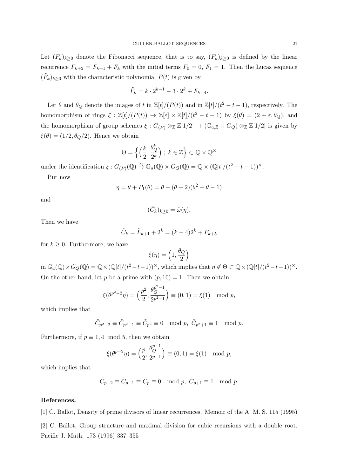Let  $(F_k)_{k\geq 0}$  denote the Fibonacci sequence, that is to say,  $(F_k)_{k\geq 0}$  is defined by the linear recurrence  $F_{k+2} = F_{k+1} + F_k$  with the initial terms  $F_0 = 0$ ,  $F_1 = 1$ . Then the Lucas sequence  $(\tilde{F}_k)_{k\geq 0}$  with the characteristic polynomial  $P(t)$  is given by

$$
\tilde{F}_k = k \cdot 2^{k-1} - 3 \cdot 2^k + F_{k+4}.
$$

Let  $\theta$  and  $\theta_Q$  denote the images of *t* in  $\mathbb{Z}[t]/(P(t))$  and in  $\mathbb{Z}[t]/(t^2 - t - 1)$ , respectively. The homomorphism of rings  $\xi : \mathbb{Z}[t]/(P(t)) \to \mathbb{Z}[\varepsilon] \times \mathbb{Z}[t]/(t^2 - t - 1)$  by  $\xi(\theta) = (2 + \varepsilon, \theta_Q)$ , and the homomorphism of group schemes  $\xi$  :  $G_{(P)} \otimes_{\mathbb{Z}} \mathbb{Z}[1/2] \to (\mathbb{G}_{a,\mathbb{Z}} \times G_Q) \otimes_{\mathbb{Z}} \mathbb{Z}[1/2]$  is given by  $\xi(\theta) = (1/2, \theta_Q/2)$ . Hence we obtain

$$
\Theta = \left\{ \left( \frac{k}{2}, \frac{\theta_Q^k}{2^k} \right) ; k \in \mathbb{Z} \right\} \subset \mathbb{Q} \times \mathbb{Q}^{\times}
$$

under the identification  $\xi$ :  $G_{(P)}(\mathbb{Q}) \stackrel{\sim}{\to} \mathbb{G}_a(\mathbb{Q}) \times G_Q(\mathbb{Q}) = \mathbb{Q} \times (\mathbb{Q}[t]/(t^2 - t - 1))^{\times}$ .

Put now

$$
\eta = \theta + P_1(\theta) = \theta + (\theta - 2)(\theta^2 - \theta - 1)
$$

and

$$
(\tilde{C}_k)_{k\geq 0}=\tilde{\omega}(\eta).
$$

Then we have

$$
\tilde{C}_k = \tilde{L}_{k+1} + 2^k = (k-4)2^k + F_{k+5}
$$

for  $k \geq 0$ . Furthermore, we have

$$
\xi(\eta)=\left(1,\frac{\theta_Q}{2}\right)
$$

in  $\mathbb{G}_a(\mathbb{Q}) \times G_Q(\mathbb{Q}) = \mathbb{Q} \times (\mathbb{Q}[t]/(t^2-t-1))^{\times}$ , which implies that  $\eta \notin \Theta \subset \mathbb{Q} \times (\mathbb{Q}[t]/(t^2-t-1))^{\times}$ . On the other hand, let *p* be a prime with  $(p, 10) = 1$ . Then we obtain

$$
\xi(\theta^{p^2-2}\eta) = \left(\frac{p^2}{2}, \frac{\theta_Q^{p^2-1}}{2^{p^2-1}}\right) \equiv (0,1) = \xi(1) \mod p,
$$

which implies that

$$
\tilde{C}_{p^2-2} \equiv \tilde{C}_{p^2-1} \equiv \tilde{C}_{p^2} \equiv 0 \mod p, \ \tilde{C}_{p^2+1} \equiv 1 \mod p.
$$

Furthermore, if  $p \equiv 1, 4 \mod 5$ , then we obtain

$$
\xi(\theta^{p-2}\eta) = \left(\frac{p}{2}, \frac{\theta^{p-1}_{Q}}{2^{p-1}}\right) \equiv (0,1) = \xi(1) \mod p,
$$

which implies that

$$
\tilde{C}_{p-2}\equiv \tilde{C}_{p-1}\equiv \tilde{C}_p\equiv 0\mod p,~\tilde{C}_{p+1}\equiv 1\mod p.
$$

## **References.**

[1] C. Ballot, Density of prime divisors of linear recurrences. Memoir of the A. M. S. 115 (1995)

[2] C. Ballot, Group structure and maximal division for cubic recursions with a double root. Pacific J. Math. 173 (1996) 337–355